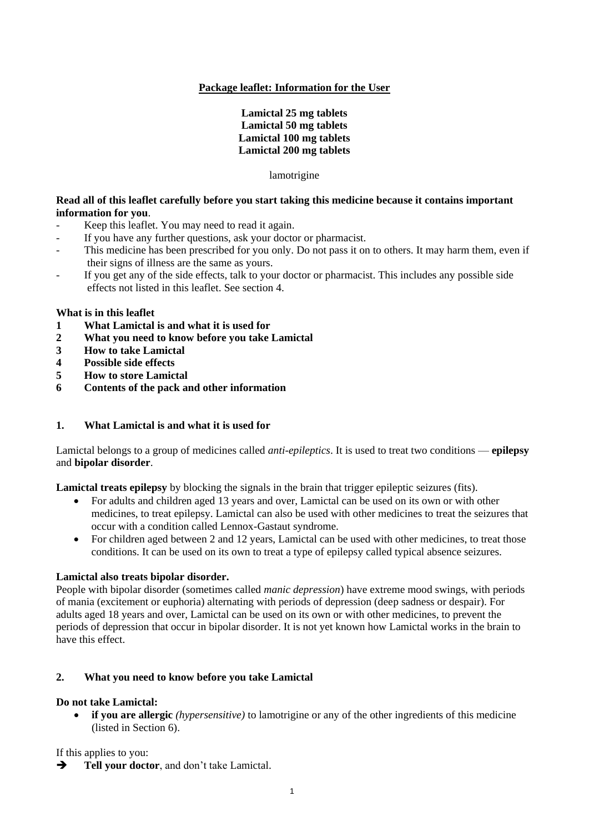# **Package leaflet: Information for the User**

**Lamictal 25 mg tablets Lamictal 50 mg tablets Lamictal 100 mg tablets Lamictal 200 mg tablets**

lamotrigine

# **Read all of this leaflet carefully before you start taking this medicine because it contains important information for you**.

- Keep this leaflet. You may need to read it again.
- If you have any further questions, ask your doctor or pharmacist.
- This medicine has been prescribed for you only. Do not pass it on to others. It may harm them, even if their signs of illness are the same as yours.
- If you get any of the side effects, talk to your doctor or pharmacist. This includes any possible side effects not listed in this leaflet. See section 4.

# **What is in this leaflet**

- **1 What Lamictal is and what it is used for**
- **2 What you need to know before you take Lamictal**
- **3 How to take Lamictal**
- **4 Possible side effects**
- **5 How to store Lamictal**
- **6 Contents of the pack and other information**

# **1. What Lamictal is and what it is used for**

Lamictal belongs to a group of medicines called *anti-epileptics*. It is used to treat two conditions — **epilepsy** and **bipolar disorder**.

**Lamictal treats epilepsy** by blocking the signals in the brain that trigger epileptic seizures (fits).

- For adults and children aged 13 years and over, Lamictal can be used on its own or with other medicines, to treat epilepsy. Lamictal can also be used with other medicines to treat the seizures that occur with a condition called Lennox-Gastaut syndrome.
- For children aged between 2 and 12 years, Lamictal can be used with other medicines, to treat those conditions. It can be used on its own to treat a type of epilepsy called typical absence seizures.

## **Lamictal also treats bipolar disorder.**

People with bipolar disorder (sometimes called *manic depression*) have extreme mood swings, with periods of mania (excitement or euphoria) alternating with periods of depression (deep sadness or despair). For adults aged 18 years and over, Lamictal can be used on its own or with other medicines, to prevent the periods of depression that occur in bipolar disorder. It is not yet known how Lamictal works in the brain to have this effect.

## **2. What you need to know before you take Lamictal**

## **Do not take Lamictal:**

 **if you are allergic** *(hypersensitive)* to lamotrigine or any of the other ingredients of this medicine (listed in Section 6).

If this applies to you:

**Tell your doctor**, and don't take Lamictal.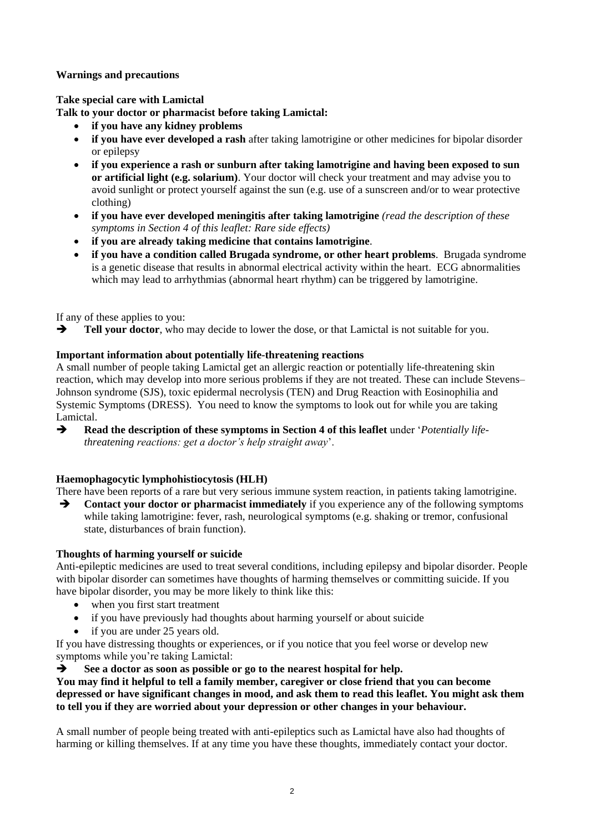# **Warnings and precautions**

# **Take special care with Lamictal**

**Talk to your doctor or pharmacist before taking Lamictal:**

- **if you have any kidney problems**
- **if you have ever developed a rash** after taking lamotrigine or other medicines for bipolar disorder or epilepsy
- **if you experience a rash or sunburn after taking lamotrigine and having been exposed to sun or artificial light (e.g. solarium)**. Your doctor will check your treatment and may advise you to avoid sunlight or protect yourself against the sun (e.g. use of a sunscreen and/or to wear protective clothing)
- **if you have ever developed meningitis after taking lamotrigine** *(read the description of these symptoms in Section 4 of this leaflet: Rare side effects)*
- **if you are already taking medicine that contains lamotrigine**.
- **if you have a condition called Brugada syndrome, or other heart problems**.Brugada syndrome is a genetic disease that results in abnormal electrical activity within the heart. ECG abnormalities which may lead to arrhythmias (abnormal heart rhythm) can be triggered by lamotrigine.

If any of these applies to you:

**Tell your doctor**, who may decide to lower the dose, or that Lamictal is not suitable for you.

# **Important information about potentially life-threatening reactions**

A small number of people taking Lamictal get an allergic reaction or potentially life-threatening skin reaction, which may develop into more serious problems if they are not treated. These can include Stevens– Johnson syndrome (SJS), toxic epidermal necrolysis (TEN) and Drug Reaction with Eosinophilia and Systemic Symptoms (DRESS). You need to know the symptoms to look out for while you are taking Lamictal.

**Read the description of these symptoms in Section 4 of this leaflet** under *'Potentially lifethreatening reactions: get a doctor's help straight away*'.

## **Haemophagocytic lymphohistiocytosis (HLH)**

There have been reports of a rare but very serious immune system reaction, in patients taking lamotrigine.

**Contact your doctor or pharmacist immediately** if you experience any of the following symptoms while taking lamotrigine: fever, rash, neurological symptoms (e.g. shaking or tremor, confusional state, disturbances of brain function).

## **Thoughts of harming yourself or suicide**

Anti-epileptic medicines are used to treat several conditions, including epilepsy and bipolar disorder. People with bipolar disorder can sometimes have thoughts of harming themselves or committing suicide. If you have bipolar disorder, you may be more likely to think like this:

- when you first start treatment
- if you have previously had thoughts about harming yourself or about suicide
- if you are under 25 years old.

If you have distressing thoughts or experiences, or if you notice that you feel worse or develop new symptoms while you're taking Lamictal:

**Figure 3** See a doctor as soon as possible or go to the nearest hospital for help.

**You may find it helpful to tell a family member, caregiver or close friend that you can become depressed or have significant changes in mood, and ask them to read this leaflet. You might ask them to tell you if they are worried about your depression or other changes in your behaviour.**

A small number of people being treated with anti-epileptics such as Lamictal have also had thoughts of harming or killing themselves. If at any time you have these thoughts, immediately contact your doctor.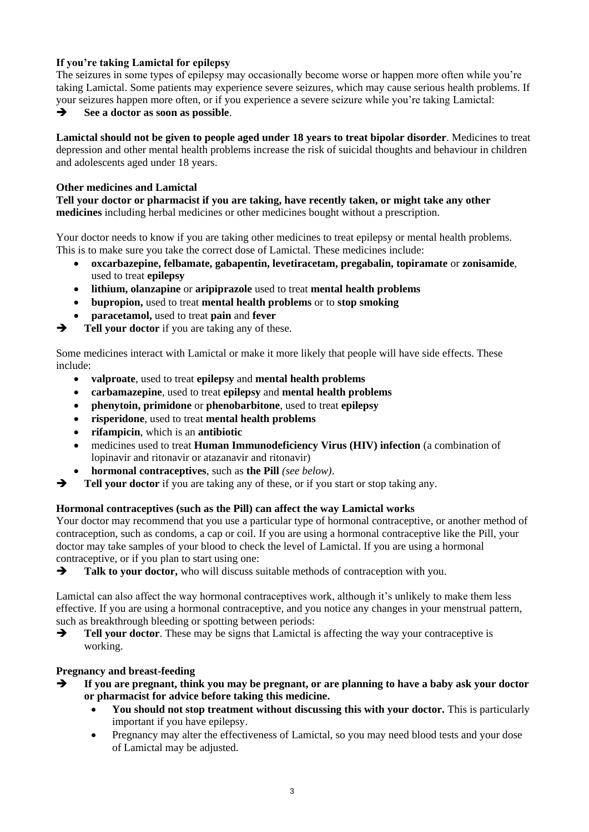# **If you're taking Lamictal for epilepsy**

The seizures in some types of epilepsy may occasionally become worse or happen more often while you're taking Lamictal. Some patients may experience severe seizures, which may cause serious health problems. If your seizures happen more often, or if you experience a severe seizure while you're taking Lamictal: **See a doctor as soon as possible**.

**Lamictal should not be given to people aged under 18 years to treat bipolar disorder**. Medicines to treat depression and other mental health problems increase the risk of suicidal thoughts and behaviour in children and adolescents aged under 18 years.

# **Other medicines and Lamictal**

**Tell your doctor or pharmacist if you are taking, have recently taken, or might take any other medicines** including herbal medicines or other medicines bought without a prescription.

Your doctor needs to know if you are taking other medicines to treat epilepsy or mental health problems. This is to make sure you take the correct dose of Lamictal. These medicines include:

- **oxcarbazepine, felbamate, gabapentin, levetiracetam, pregabalin, topiramate** or **zonisamide**, used to treat **epilepsy**
- **lithium, olanzapine** or **aripiprazole** used to treat **mental health problems**
- **bupropion,** used to treat **mental health problems** or to **stop smoking**
- **paracetamol,** used to treat **pain** and **fever**
- **Tell your doctor** if you are taking any of these.

Some medicines interact with Lamictal or make it more likely that people will have side effects. These include:

- **valproate**, used to treat **epilepsy** and **mental health problems**
- **carbamazepine**, used to treat **epilepsy** and **mental health problems**
- **phenytoin, primidone** or **phenobarbitone**, used to treat **epilepsy**
- **risperidone**, used to treat **mental health problems**
- **rifampicin**, which is an **antibiotic**
- medicines used to treat **Human Immunodeficiency Virus (HIV) infection** (a combination of lopinavir and ritonavir or atazanavir and ritonavir)
- **hormonal contraceptives**, such as **the Pill** *(see below)*.
- **Tell your doctor** if you are taking any of these, or if you start or stop taking any.

## **Hormonal contraceptives (such as the Pill) can affect the way Lamictal works**

Your doctor may recommend that you use a particular type of hormonal contraceptive, or another method of contraception, such as condoms, a cap or coil. If you are using a hormonal contraceptive like the Pill, your doctor may take samples of your blood to check the level of Lamictal. If you are using a hormonal contraceptive, or if you plan to start using one:

**Talk to your doctor,** who will discuss suitable methods of contraception with you.

Lamictal can also affect the way hormonal contraceptives work, although it's unlikely to make them less effective. If you are using a hormonal contraceptive, and you notice any changes in your menstrual pattern, such as breakthrough bleeding or spotting between periods:

**Tell your doctor**. These may be signs that Lamictal is affecting the way your contraceptive is working.

## **Pregnancy and breast-feeding**

- **If you are pregnant, think you may be pregnant, or are planning to have a baby ask your doctor or pharmacist for advice before taking this medicine.** 
	- **You should not stop treatment without discussing this with your doctor.** This is particularly important if you have epilepsy.
	- Pregnancy may alter the effectiveness of Lamictal, so you may need blood tests and your dose of Lamictal may be adjusted.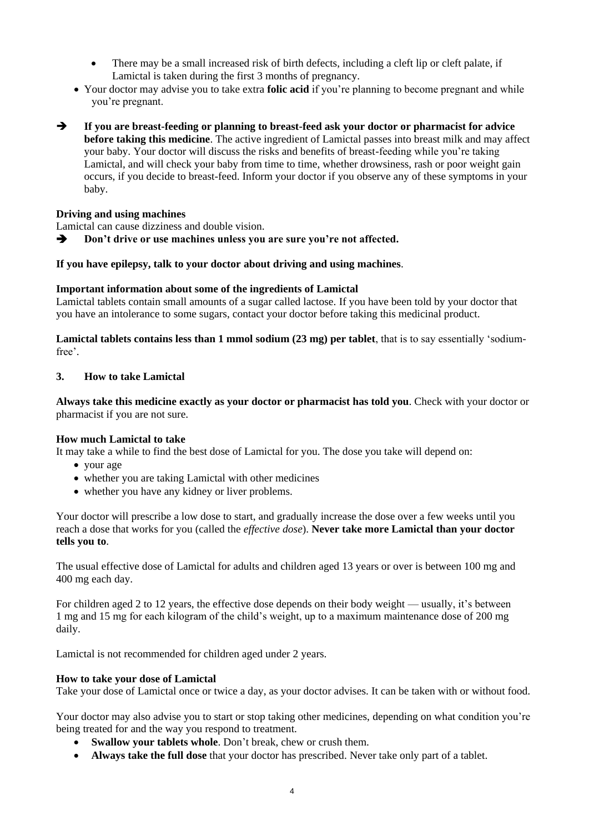- There may be a small increased risk of birth defects, including a cleft lip or cleft palate, if Lamictal is taken during the first 3 months of pregnancy.
- Your doctor may advise you to take extra **folic acid** if you're planning to become pregnant and while you're pregnant.
- **If you are breast-feeding or planning to breast-feed ask your doctor or pharmacist for advice before taking this medicine**. The active ingredient of Lamictal passes into breast milk and may affect your baby. Your doctor will discuss the risks and benefits of breast-feeding while you're taking Lamictal, and will check your baby from time to time, whether drowsiness, rash or poor weight gain occurs, if you decide to breast-feed. Inform your doctor if you observe any of these symptoms in your baby.

# **Driving and using machines**

Lamictal can cause dizziness and double vision.

 $\rightarrow$  Don't drive or use machines unless you are sure you're not affected.

# **If you have epilepsy, talk to your doctor about driving and using machines**.

## **Important information about some of the ingredients of Lamictal**

Lamictal tablets contain small amounts of a sugar called lactose. If you have been told by your doctor that you have an intolerance to some sugars, contact your doctor before taking this medicinal product.

**Lamictal tablets contains less than 1 mmol sodium (23 mg) per tablet**, that is to say essentially 'sodiumfree'.

## **3. How to take Lamictal**

**Always take this medicine exactly as your doctor or pharmacist has told you**. Check with your doctor or pharmacist if you are not sure.

## **How much Lamictal to take**

It may take a while to find the best dose of Lamictal for you. The dose you take will depend on:

- vour age
- whether you are taking Lamictal with other medicines
- whether you have any kidney or liver problems.

Your doctor will prescribe a low dose to start, and gradually increase the dose over a few weeks until you reach a dose that works for you (called the *effective dose*). **Never take more Lamictal than your doctor tells you to**.

The usual effective dose of Lamictal for adults and children aged 13 years or over is between 100 mg and 400 mg each day.

For children aged 2 to 12 years, the effective dose depends on their body weight — usually, it's between 1 mg and 15 mg for each kilogram of the child's weight, up to a maximum maintenance dose of 200 mg daily.

Lamictal is not recommended for children aged under 2 years.

## **How to take your dose of Lamictal**

Take your dose of Lamictal once or twice a day, as your doctor advises. It can be taken with or without food.

Your doctor may also advise you to start or stop taking other medicines, depending on what condition you're being treated for and the way you respond to treatment.

- **Swallow your tablets whole**. Don't break, chew or crush them.
- **Always take the full dose** that your doctor has prescribed. Never take only part of a tablet.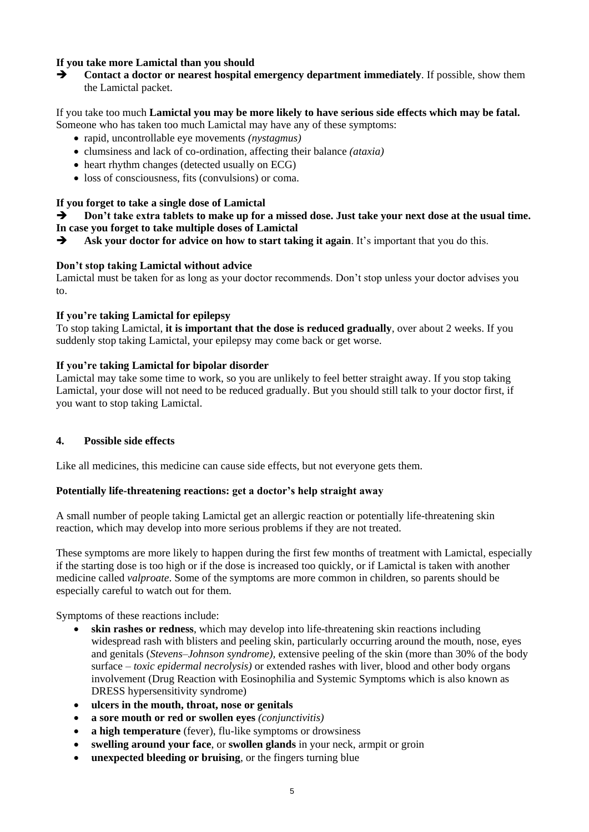# **If you take more Lamictal than you should**

**EXECUTE:** Contact **a** doctor or nearest hospital emergency department immediately. If possible, show them the Lamictal packet.

#### If you take too much **Lamictal you may be more likely to have serious side effects which may be fatal.** Someone who has taken too much Lamictal may have any of these symptoms:

- rapid, uncontrollable eye movements *(nystagmus)*
- clumsiness and lack of co-ordination, affecting their balance *(ataxia)*
- heart rhythm changes (detected usually on ECG)
- loss of consciousness, fits (convulsions) or coma.

## **If you forget to take a single dose of Lamictal**

# $\rightarrow$  Don't take extra tablets to make up for a missed dose. Just take your next dose at the usual time. **In case you forget to take multiple doses of Lamictal**

Ask your doctor for advice on how to start taking it again. It's important that you do this.

# **Don't stop taking Lamictal without advice**

Lamictal must be taken for as long as your doctor recommends. Don't stop unless your doctor advises you to.

## **If you're taking Lamictal for epilepsy**

To stop taking Lamictal, **it is important that the dose is reduced gradually**, over about 2 weeks. If you suddenly stop taking Lamictal, your epilepsy may come back or get worse.

## **If you're taking Lamictal for bipolar disorder**

Lamictal may take some time to work, so you are unlikely to feel better straight away. If you stop taking Lamictal, your dose will not need to be reduced gradually. But you should still talk to your doctor first, if you want to stop taking Lamictal.

## **4. Possible side effects**

Like all medicines, this medicine can cause side effects, but not everyone gets them.

## **Potentially life-threatening reactions: get a doctor's help straight away**

A small number of people taking Lamictal get an allergic reaction or potentially life-threatening skin reaction, which may develop into more serious problems if they are not treated.

These symptoms are more likely to happen during the first few months of treatment with Lamictal, especially if the starting dose is too high or if the dose is increased too quickly, or if Lamictal is taken with another medicine called *valproate*. Some of the symptoms are more common in children, so parents should be especially careful to watch out for them.

Symptoms of these reactions include:

- **skin rashes or redness**, which may develop into life-threatening skin reactions including widespread rash with blisters and peeling skin, particularly occurring around the mouth, nose, eyes and genitals (*Stevens–Johnson syndrome),* extensive peeling of the skin (more than 30% of the body surface – *toxic epidermal necrolysis)* or extended rashes with liver, blood and other body organs involvement (Drug Reaction with Eosinophilia and Systemic Symptoms which is also known as DRESS hypersensitivity syndrome)
- **ulcers in the mouth, throat, nose or genitals**
- **a sore mouth or red or swollen eyes** *(conjunctivitis)*
- **a high temperature** (fever), flu-like symptoms or drowsiness
- **swelling around your face**, or **swollen glands** in your neck, armpit or groin
- **unexpected bleeding or bruising**, or the fingers turning blue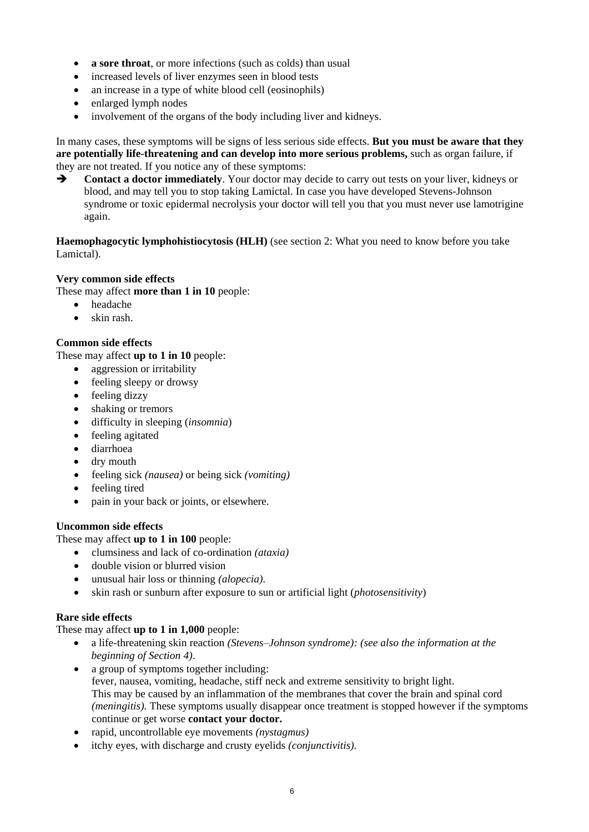- **a sore throat**, or more infections (such as colds) than usual
- increased levels of liver enzymes seen in blood tests
- an increase in a type of white blood cell (eosinophils)
- enlarged lymph nodes
- involvement of the organs of the body including liver and kidneys.

In many cases, these symptoms will be signs of less serious side effects. **But you must be aware that they are potentially life-threatening and can develop into more serious problems,** such as organ failure, if they are not treated. If you notice any of these symptoms:

 **Contact a doctor immediately**. Your doctor may decide to carry out tests on your liver, kidneys or blood, and may tell you to stop taking Lamictal. In case you have developed Stevens-Johnson syndrome or toxic epidermal necrolysis your doctor will tell you that you must never use lamotrigine again.

**Haemophagocytic lymphohistiocytosis (HLH)** (see section 2: What you need to know before you take Lamictal).

# **Very common side effects**

These may affect **more than 1 in 10** people:

- headache
- skin rash.

## **Common side effects**

These may affect **up to 1 in 10** people:

- aggression or irritability
- feeling sleepy or drowsy
- feeling dizzy
- shaking or tremors
- difficulty in sleeping (*insomnia*)
- feeling agitated
- diarrhoea
- dry mouth
- feeling sick *(nausea)* or being sick *(vomiting)*
- feeling tired
- pain in your back or joints, or elsewhere.

## **Uncommon side effects**

These may affect **up to 1 in 100** people:

- clumsiness and lack of co-ordination *(ataxia)*
- double vision or blurred vision
- unusual hair loss or thinning *(alopecia).*
- skin rash or sunburn after exposure to sun or artificial light (*photosensitivity*)

## **Rare side effects**

These may affect **up to 1 in 1,000** people:

- a life-threatening skin reaction *(Stevens–Johnson syndrome): (see also the information at the beginning of Section 4)*.
- a group of symptoms together including: fever, nausea, vomiting, headache, stiff neck and extreme sensitivity to bright light. This may be caused by an inflammation of the membranes that cover the brain and spinal cord *(meningitis).* These symptoms usually disappear once treatment is stopped however if the symptoms continue or get worse **contact your doctor.**
- rapid, uncontrollable eye movements *(nystagmus)*
- itchy eyes, with discharge and crusty eyelids *(conjunctivitis).*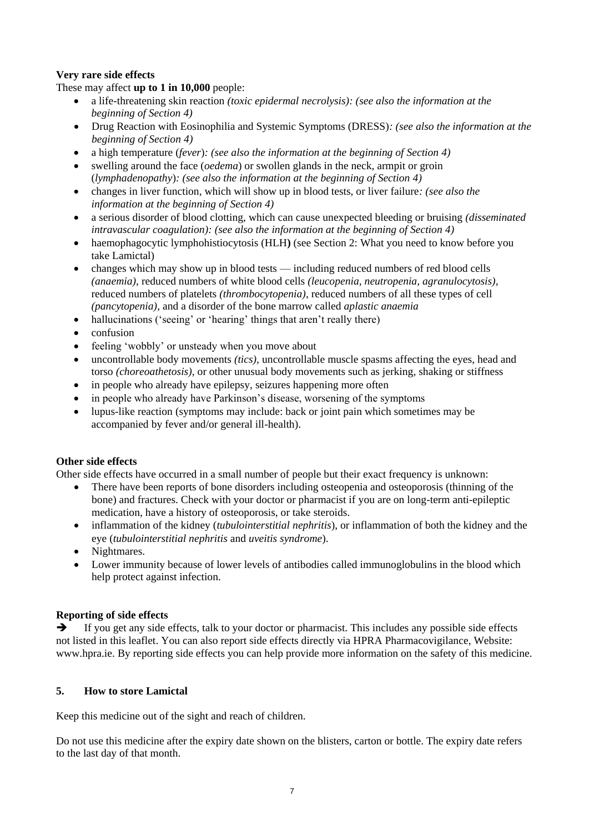# **Very rare side effects**

These may affect **up to 1 in 10,000** people:

- a life-threatening skin reaction *(toxic epidermal necrolysis): (see also the information at the beginning of Section 4)*
- Drug Reaction with Eosinophilia and Systemic Symptoms (DRESS)*: (see also the information at the beginning of Section 4)*
- a high temperature (*fever*)*: (see also the information at the beginning of Section 4)*
- swelling around the face (*oedema*) or swollen glands in the neck, armpit or groin (*lymphadenopathy*)*: (see also the information at the beginning of Section 4)*
- changes in liver function, which will show up in blood tests, or liver failure*: (see also the information at the beginning of Section 4)*
- a serious disorder of blood clotting, which can cause unexpected bleeding or bruising *(disseminated intravascular coagulation): (see also the information at the beginning of Section 4)*
- haemophagocytic lymphohistiocytosis (HLH) (see Section 2: What you need to know before you take Lamictal)
- changes which may show up in blood tests including reduced numbers of red blood cells *(anaemia)*, reduced numbers of white blood cells *(leucopenia, neutropenia, agranulocytosis)*, reduced numbers of platelets *(thrombocytopenia)*, reduced numbers of all these types of cell *(pancytopenia),* and a disorder of the bone marrow called *aplastic anaemia*
- hallucinations ('seeing' or 'hearing' things that aren't really there)
- confusion
- feeling 'wobbly' or unsteady when you move about
- uncontrollable body movements *(tics)*, uncontrollable muscle spasms affecting the eyes, head and torso *(choreoathetosis)*, or other unusual body movements such as jerking, shaking or stiffness
- in people who already have epilepsy, seizures happening more often
- in people who already have Parkinson's disease, worsening of the symptoms
- lupus-like reaction (symptoms may include: back or joint pain which sometimes may be accompanied by fever and/or general ill-health).

# **Other side effects**

Other side effects have occurred in a small number of people but their exact frequency is unknown:

- There have been reports of bone disorders including osteopenia and osteoporosis (thinning of the bone) and fractures. Check with your doctor or pharmacist if you are on long-term anti-epileptic medication, have a history of osteoporosis, or take steroids.
- inflammation of the kidney (*tubulointerstitial nephritis*), or inflammation of both the kidney and the eye (*tubulointerstitial nephritis* and *uveitis syndrome*).
- Nightmares.
- Lower immunity because of lower levels of antibodies called immunoglobulins in the blood which help protect against infection.

# **Reporting of side effects**

 $\rightarrow$  If you get any side effects, talk to your doctor or pharmacist. This includes any possible side effects not listed in this leaflet. You can also report side effects directly via HPRA Pharmacovigilance, Website: [www.hpra.ie.](http://www.hpra.ie/) By reporting side effects you can help provide more information on the safety of this medicine.

# **5. How to store Lamictal**

Keep this medicine out of the sight and reach of children.

Do not use this medicine after the expiry date shown on the blisters, carton or bottle. The expiry date refers to the last day of that month.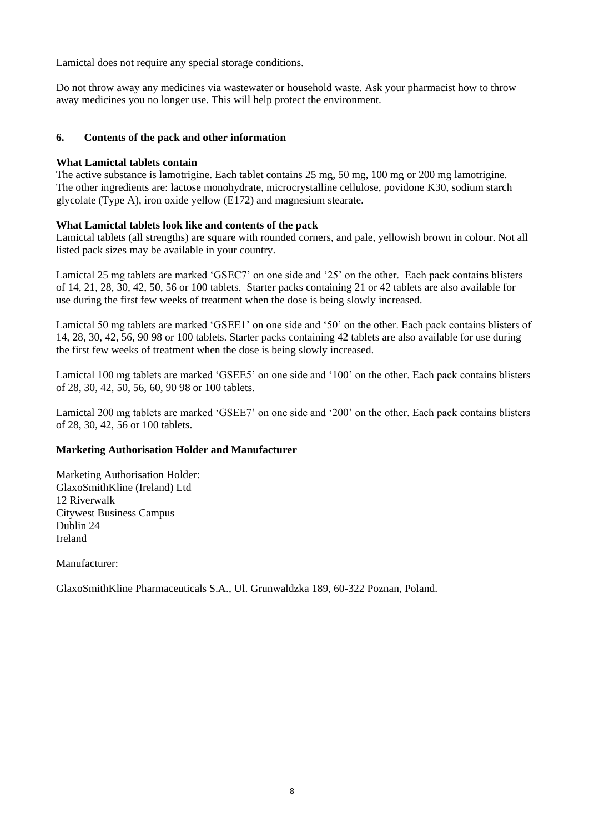Lamictal does not require any special storage conditions.

Do not throw away any medicines via wastewater or household waste. Ask your pharmacist how to throw away medicines you no longer use. This will help protect the environment.

# **6. Contents of the pack and other information**

# **What Lamictal tablets contain**

The active substance is lamotrigine. Each tablet contains 25 mg, 50 mg, 100 mg or 200 mg lamotrigine. The other ingredients are: lactose monohydrate, microcrystalline cellulose, povidone K30, sodium starch glycolate (Type A), iron oxide yellow (E172) and magnesium stearate.

# **What Lamictal tablets look like and contents of the pack**

Lamictal tablets (all strengths) are square with rounded corners, and pale, yellowish brown in colour. Not all listed pack sizes may be available in your country.

Lamictal 25 mg tablets are marked 'GSEC7' on one side and '25' on the other. Each pack contains blisters of 14, 21, 28, 30, 42, 50, 56 or 100 tablets. Starter packs containing 21 or 42 tablets are also available for use during the first few weeks of treatment when the dose is being slowly increased.

Lamictal 50 mg tablets are marked 'GSEE1' on one side and '50' on the other. Each pack contains blisters of 14, 28, 30, 42, 56, 90 98 or 100 tablets. Starter packs containing 42 tablets are also available for use during the first few weeks of treatment when the dose is being slowly increased.

Lamictal 100 mg tablets are marked 'GSEE5' on one side and '100' on the other. Each pack contains blisters of 28, 30, 42, 50, 56, 60, 90 98 or 100 tablets.

Lamictal 200 mg tablets are marked 'GSEE7' on one side and '200' on the other. Each pack contains blisters of 28, 30, 42, 56 or 100 tablets.

## **Marketing Authorisation Holder and Manufacturer**

Marketing Authorisation Holder: GlaxoSmithKline (Ireland) Ltd 12 Riverwalk Citywest Business Campus Dublin 24 Ireland

Manufacturer:

GlaxoSmithKline Pharmaceuticals S.A., Ul. Grunwaldzka 189, 60-322 Poznan, Poland.